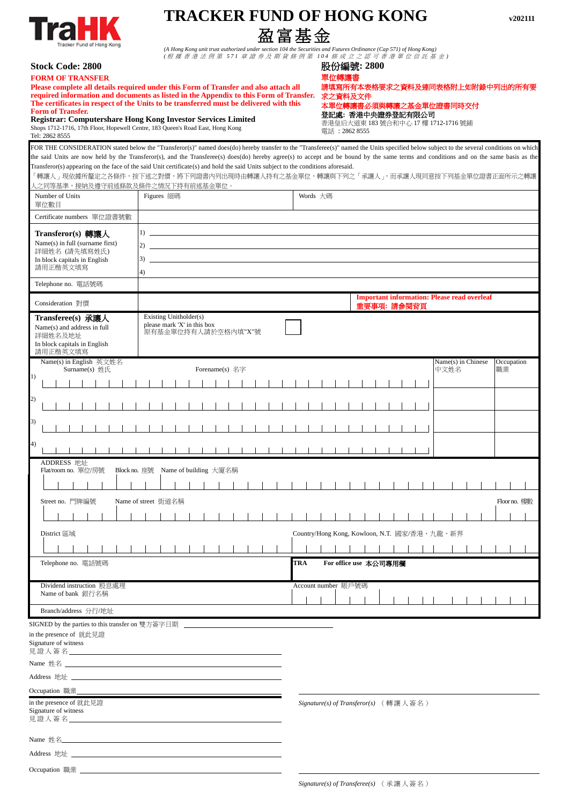| Tracker Fund of Hong Kong |
|---------------------------|
|---------------------------|

## **TRACKER FUND OF HONG KONG v202111**  盈富基金

*(A Hong Kong unit trust authorized under section 104 the Securities and Futures Ordinance (Cap 571) of Hong Kong) (* 根 據 香 港 法 例 第 *571* 章 證 券 及 期 貨 條 例 第 *104* 條 成 立 之 認 可 香 港 單 位 信 託 基 金 *)*

| <b>Stock Code: 2800</b> |
|-------------------------|
| <b>FORM OF TRANSFER</b> |

| <b>Stock Code: 2800</b>                                                                                                                                                                                                                                                                                                                                                                                                                                                                                    |                                                                              |                                                       |  |  |     |                                                                                                                                               |  | 股份編號: 2800            |  |  |             |  |                                                    |      |                    |  |                  |              |
|------------------------------------------------------------------------------------------------------------------------------------------------------------------------------------------------------------------------------------------------------------------------------------------------------------------------------------------------------------------------------------------------------------------------------------------------------------------------------------------------------------|------------------------------------------------------------------------------|-------------------------------------------------------|--|--|-----|-----------------------------------------------------------------------------------------------------------------------------------------------|--|-----------------------|--|--|-------------|--|----------------------------------------------------|------|--------------------|--|------------------|--------------|
| <b>FORM OF TRANSFER</b><br>Please complete all details required under this Form of Transfer and also attach all<br>required information and documents as listed in the Appendix to this Form of Transfer.<br>The certificates in respect of the Units to be transferred must be delivered with this<br><b>Form of Transfer.</b><br><b>Registrar: Computershare Hong Kong Investor Services Limited</b><br>Shops 1712-1716, 17th Floor, Hopewell Centre, 183 Queen's Road East, Hong Kong<br>Tel: 2862 8555 |                                                                              |                                                       |  |  |     | 葛所有本表格要求之資料及連同表格附上如附錄中列出的所有要<br>求之資料及文件<br>本單位轉讓書必須與轉讓之基金單位證書同時交付<br>登記處:香港中央證券登記有限公司<br>香港皇后大道東 183 號合和中心 17 樓 1712-1716 號鋪<br>電話: 2862 8555 |  |                       |  |  |             |  |                                                    |      |                    |  |                  |              |
| FOR THE CONSIDERATION stated below the "Transferor(s)" named does(do) hereby transfer to the "Transferee(s)" named the Units specified below subject to the several conditions on which                                                                                                                                                                                                                                                                                                                    |                                                                              |                                                       |  |  |     |                                                                                                                                               |  |                       |  |  |             |  |                                                    |      |                    |  |                  |              |
| the said Units are now held by the Transferor(s), and the Transferee(s) does(do) hereby agree(s) to accept and be bound by the same terms and conditions and on the same basis as the<br>Transferor(s) appearing on the face of the said Unit certificate(s) and hold the said Units subject to the conditions aforesaid.<br>「轉讓人」現依據所釐定之各條件,按下述之對價,將下列證書內列出現時由轉讓人持有之基金單位,轉讓與下列之「承讓人」,而承讓人現同意按下列基金單位證書正面所示之轉讓<br>人之同等基準,接納及遵守前述條款及條件之情況下持有前述基金單位。                                                          |                                                                              |                                                       |  |  |     |                                                                                                                                               |  |                       |  |  |             |  |                                                    |      |                    |  |                  |              |
| Number of Units<br>單位數目                                                                                                                                                                                                                                                                                                                                                                                                                                                                                    | <b>Figures</b> 細碼                                                            |                                                       |  |  |     | Words 大碼                                                                                                                                      |  |                       |  |  |             |  |                                                    |      |                    |  |                  |              |
| Certificate numbers 單位證書號數                                                                                                                                                                                                                                                                                                                                                                                                                                                                                 |                                                                              |                                                       |  |  |     |                                                                                                                                               |  |                       |  |  |             |  |                                                    |      |                    |  |                  |              |
| Transferor(s) 轉讓人<br>Name(s) in full (surname first)<br>詳細姓名 (請先填寫姓氏)<br>In block capitals in English<br>請用正楷英文填寫                                                                                                                                                                                                                                                                                                                                                                                          | 1)<br>2)<br>3)<br>4)                                                         | <u> 1980 - Johann Stoff, fransk politik (d. 1980)</u> |  |  |     |                                                                                                                                               |  |                       |  |  |             |  |                                                    |      |                    |  |                  |              |
| Telephone no. 電話號碼                                                                                                                                                                                                                                                                                                                                                                                                                                                                                         |                                                                              |                                                       |  |  |     |                                                                                                                                               |  |                       |  |  |             |  |                                                    |      |                    |  |                  |              |
| Consideration 對價                                                                                                                                                                                                                                                                                                                                                                                                                                                                                           |                                                                              |                                                       |  |  |     |                                                                                                                                               |  |                       |  |  | 重要事項: 請参閱背頁 |  | <b>Important information: Please read overleaf</b> |      |                    |  |                  |              |
| Transferee(s) 承讓人<br>Name(s) and address in full<br>詳細姓名及地址<br>In block capitals in English<br>請用正楷英文填寫                                                                                                                                                                                                                                                                                                                                                                                                    | Existing Unitholder(s)<br>please mark 'X' in this box<br>原有基金單位持有人請於空格內填"X"號 |                                                       |  |  |     |                                                                                                                                               |  |                       |  |  |             |  |                                                    |      |                    |  |                  |              |
| Name(s) in English 英文姓名<br>Surname $(s)$ 姓氏<br>l)                                                                                                                                                                                                                                                                                                                                                                                                                                                          |                                                                              | Forename(s) 名字                                        |  |  |     |                                                                                                                                               |  |                       |  |  |             |  |                                                    | 中文姓名 | Name(s) in Chinese |  | Occupation<br>職業 |              |
| 2)                                                                                                                                                                                                                                                                                                                                                                                                                                                                                                         |                                                                              |                                                       |  |  |     |                                                                                                                                               |  |                       |  |  |             |  |                                                    |      |                    |  |                  |              |
|                                                                                                                                                                                                                                                                                                                                                                                                                                                                                                            |                                                                              |                                                       |  |  |     |                                                                                                                                               |  |                       |  |  |             |  |                                                    |      |                    |  |                  |              |
| 3)                                                                                                                                                                                                                                                                                                                                                                                                                                                                                                         |                                                                              |                                                       |  |  |     |                                                                                                                                               |  |                       |  |  |             |  |                                                    |      |                    |  |                  |              |
| 4)                                                                                                                                                                                                                                                                                                                                                                                                                                                                                                         |                                                                              |                                                       |  |  |     |                                                                                                                                               |  |                       |  |  |             |  |                                                    |      |                    |  |                  |              |
| ADDRESS 地址<br>Flat/room no. 單位/房號<br>Block no. 座號                                                                                                                                                                                                                                                                                                                                                                                                                                                          |                                                                              | Name of building 大廈名稱                                 |  |  |     |                                                                                                                                               |  |                       |  |  |             |  |                                                    |      |                    |  |                  |              |
|                                                                                                                                                                                                                                                                                                                                                                                                                                                                                                            |                                                                              |                                                       |  |  |     |                                                                                                                                               |  |                       |  |  |             |  |                                                    |      |                    |  |                  |              |
| Street no. 門牌編號                                                                                                                                                                                                                                                                                                                                                                                                                                                                                            | Name of street 街道名稱                                                          |                                                       |  |  |     |                                                                                                                                               |  |                       |  |  |             |  |                                                    |      |                    |  |                  | Floor no. 樓數 |
|                                                                                                                                                                                                                                                                                                                                                                                                                                                                                                            |                                                                              |                                                       |  |  |     |                                                                                                                                               |  |                       |  |  |             |  |                                                    |      |                    |  |                  |              |
| District 區域                                                                                                                                                                                                                                                                                                                                                                                                                                                                                                |                                                                              |                                                       |  |  |     |                                                                                                                                               |  |                       |  |  |             |  | Country/Hong Kong, Kowloon, N.T. 國家/香港、九龍、新界       |      |                    |  |                  |              |
|                                                                                                                                                                                                                                                                                                                                                                                                                                                                                                            |                                                                              |                                                       |  |  |     |                                                                                                                                               |  |                       |  |  |             |  |                                                    |      |                    |  |                  |              |
| Telephone no. 電話號碼                                                                                                                                                                                                                                                                                                                                                                                                                                                                                         |                                                                              |                                                       |  |  | TRA |                                                                                                                                               |  | For office use 本公司專用欄 |  |  |             |  |                                                    |      |                    |  |                  |              |
| Dividend instruction 股息處理<br>Name of bank 銀行名稱                                                                                                                                                                                                                                                                                                                                                                                                                                                             |                                                                              |                                                       |  |  |     |                                                                                                                                               |  | Account number 賬戶號碼   |  |  |             |  |                                                    |      |                    |  |                  |              |
| Branch/address 分行/地址                                                                                                                                                                                                                                                                                                                                                                                                                                                                                       |                                                                              |                                                       |  |  |     |                                                                                                                                               |  |                       |  |  |             |  |                                                    |      |                    |  |                  |              |
|                                                                                                                                                                                                                                                                                                                                                                                                                                                                                                            |                                                                              |                                                       |  |  |     |                                                                                                                                               |  |                       |  |  |             |  |                                                    |      |                    |  |                  |              |

SIGNED by the parties to this transfer on 雙方簽字日期

in the presence of 就此見證

Signature of witness 見證人簽名

Name 姓名

Address 地址

Occupation 職業

in the presence of 就此見證 Signature of witness 見證人簽名

Name 姓名

Address 地址 \_\_

Occupation 職業

*Signature(s) of Transferee(s)* (承讓人簽名)

*Signature(s) of Transferor(s)* (轉讓人簽名)